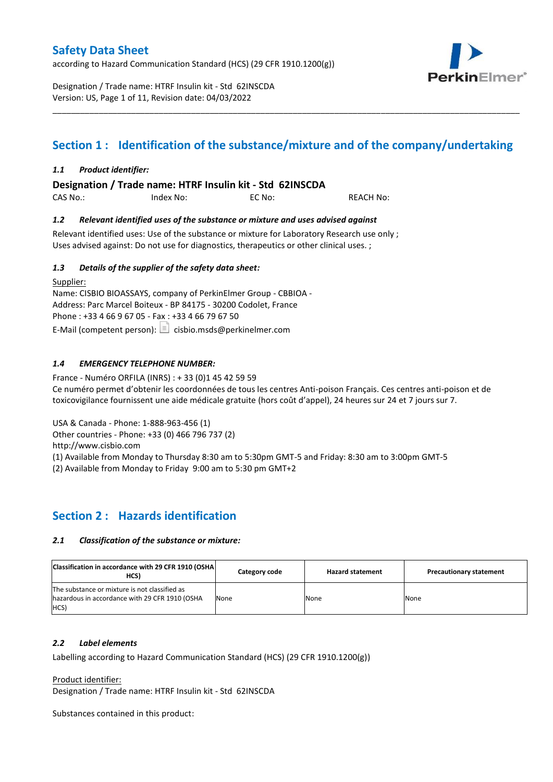according to Hazard Communication Standard (HCS) (29 CFR 1910.1200(g))

Designation / Trade name: HTRF Insulin kit - Std 62INSCDA Version: US, Page 1 of 11, Revision date: 04/03/2022

# PerkinElmer\*

## **Section 1 : Identification of the substance/mixture and of the company/undertaking**

\_\_\_\_\_\_\_\_\_\_\_\_\_\_\_\_\_\_\_\_\_\_\_\_\_\_\_\_\_\_\_\_\_\_\_\_\_\_\_\_\_\_\_\_\_\_\_\_\_\_\_\_\_\_\_\_\_\_\_\_\_\_\_\_\_\_\_\_\_\_\_\_\_\_\_\_\_\_\_\_\_\_\_\_\_\_\_\_\_\_\_\_\_\_\_\_\_\_\_\_\_

#### *1.1 Product identifier:*

**Designation / Trade name: HTRF Insulin kit - Std 62INSCDA** 

CAS No.: Index No: EC No: REACH No:

#### *1.2 Relevant identified uses of the substance or mixture and uses advised against*

Relevant identified uses: Use of the substance or mixture for Laboratory Research use only ; Uses advised against: Do not use for diagnostics, therapeutics or other clinical uses. ;

#### *1.3 Details of the supplier of the safety data sheet:*

Supplier: Name: CISBIO BIOASSAYS, company of PerkinElmer Group - CBBIOA - Address: Parc Marcel Boiteux - BP 84175 - 30200 Codolet, France Phone : +33 4 66 9 67 05 - Fax : +33 4 66 79 67 50 E-Mail (competent person):  $\Box$  cisbio.msds@perkinelmer.com

#### *1.4 EMERGENCY TELEPHONE NUMBER:*

France - Numéro ORFILA (INRS) : + 33 (0)1 45 42 59 59 Ce numéro permet d'obtenir les coordonnées de tous les centres Anti-poison Français. Ces centres anti-poison et de toxicovigilance fournissent une aide médicale gratuite (hors coût d'appel), 24 heures sur 24 et 7 jours sur 7.

USA & Canada - Phone: 1-888-963-456 (1)

Other countries - Phone: +33 (0) 466 796 737 (2)

http://www.cisbio.com

(1) Available from Monday to Thursday 8:30 am to 5:30pm GMT-5 and Friday: 8:30 am to 3:00pm GMT-5

(2) Available from Monday to Friday 9:00 am to 5:30 pm GMT+2

## **Section 2 : Hazards identification**

#### *2.1 Classification of the substance or mixture:*

| Classification in accordance with 29 CFR 1910 (OSHA)<br>HCS)                                            | Category code | <b>Hazard statement</b> | <b>Precautionary statement</b> |
|---------------------------------------------------------------------------------------------------------|---------------|-------------------------|--------------------------------|
| The substance or mixture is not classified as<br>hazardous in accordance with 29 CFR 1910 (OSHA<br>HCS) | None          | None                    | None                           |

#### *2.2 Label elements*

Labelling according to Hazard Communication Standard (HCS) (29 CFR 1910.1200(g))

Product identifier:

Designation / Trade name: HTRF Insulin kit - Std 62INSCDA

Substances contained in this product: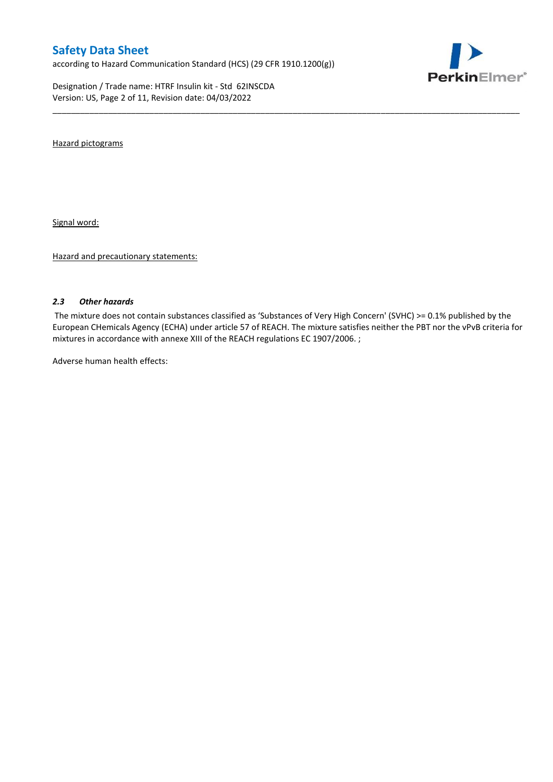according to Hazard Communication Standard (HCS) (29 CFR 1910.1200(g))

Designation / Trade name: HTRF Insulin kit - Std 62INSCDA Version: US, Page 2 of 11, Revision date: 04/03/2022



Hazard pictograms

Signal word:

Hazard and precautionary statements:

#### *2.3 Other hazards*

The mixture does not contain substances classified as 'Substances of Very High Concern' (SVHC) >= 0.1% published by the European CHemicals Agency (ECHA) under article 57 of REACH. The mixture satisfies neither the PBT nor the vPvB criteria for mixtures in accordance with annexe XIII of the REACH regulations EC 1907/2006. ;

\_\_\_\_\_\_\_\_\_\_\_\_\_\_\_\_\_\_\_\_\_\_\_\_\_\_\_\_\_\_\_\_\_\_\_\_\_\_\_\_\_\_\_\_\_\_\_\_\_\_\_\_\_\_\_\_\_\_\_\_\_\_\_\_\_\_\_\_\_\_\_\_\_\_\_\_\_\_\_\_\_\_\_\_\_\_\_\_\_\_\_\_\_\_\_\_\_\_\_\_\_

Adverse human health effects: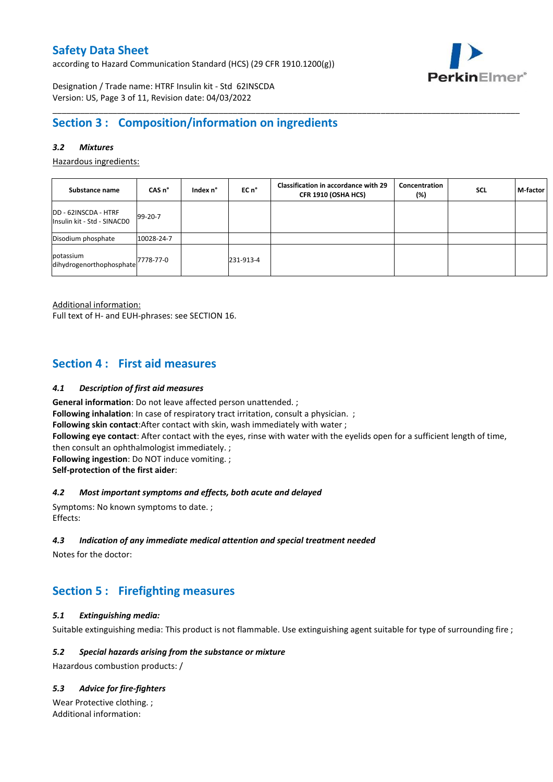according to Hazard Communication Standard (HCS) (29 CFR 1910.1200(g))



Designation / Trade name: HTRF Insulin kit - Std 62INSCDA Version: US, Page 3 of 11, Revision date: 04/03/2022

## **Section 3 : Composition/information on ingredients**

#### *3.2 Mixtures*

Hazardous ingredients:

| Substance name                                              | CAS n°     | Index n° | EC n°     | <b>Classification in accordance with 29</b><br>CFR 1910 (OSHA HCS) | Concentration<br>(%) | <b>SCL</b> | M-factor |
|-------------------------------------------------------------|------------|----------|-----------|--------------------------------------------------------------------|----------------------|------------|----------|
| DD - 62INSCDA - HTRF<br>Insulin kit - Std - SINACDO         | 99-20-7    |          |           |                                                                    |                      |            |          |
| Disodium phosphate                                          | 10028-24-7 |          |           |                                                                    |                      |            |          |
| potassium<br>ldihydrogenorthophosphate <sup>7778-77-0</sup> |            |          | 231-913-4 |                                                                    |                      |            |          |

\_\_\_\_\_\_\_\_\_\_\_\_\_\_\_\_\_\_\_\_\_\_\_\_\_\_\_\_\_\_\_\_\_\_\_\_\_\_\_\_\_\_\_\_\_\_\_\_\_\_\_\_\_\_\_\_\_\_\_\_\_\_\_\_\_\_\_\_\_\_\_\_\_\_\_\_\_\_\_\_\_\_\_\_\_\_\_\_\_\_\_\_\_\_\_\_\_\_\_\_\_

Additional information:

Full text of H- and EUH-phrases: see SECTION 16.

## **Section 4 : First aid measures**

#### *4.1 Description of first aid measures*

**General information**: Do not leave affected person unattended. ; **Following inhalation**: In case of respiratory tract irritation, consult a physician. ; **Following skin contact**:After contact with skin, wash immediately with water ; **Following eye contact**: After contact with the eyes, rinse with water with the eyelids open for a sufficient length of time, then consult an ophthalmologist immediately. ; **Following ingestion**: Do NOT induce vomiting. ; **Self-protection of the first aider**:

#### *4.2 Most important symptoms and effects, both acute and delayed*

Symptoms: No known symptoms to date. ; Effects:

#### *4.3 Indication of any immediate medical attention and special treatment needed*

Notes for the doctor:

## **Section 5 : Firefighting measures**

#### *5.1 Extinguishing media:*

Suitable extinguishing media: This product is not flammable. Use extinguishing agent suitable for type of surrounding fire ;

#### *5.2 Special hazards arising from the substance or mixture*

Hazardous combustion products: /

#### *5.3 Advice for fire-fighters*

Wear Protective clothing. ; Additional information: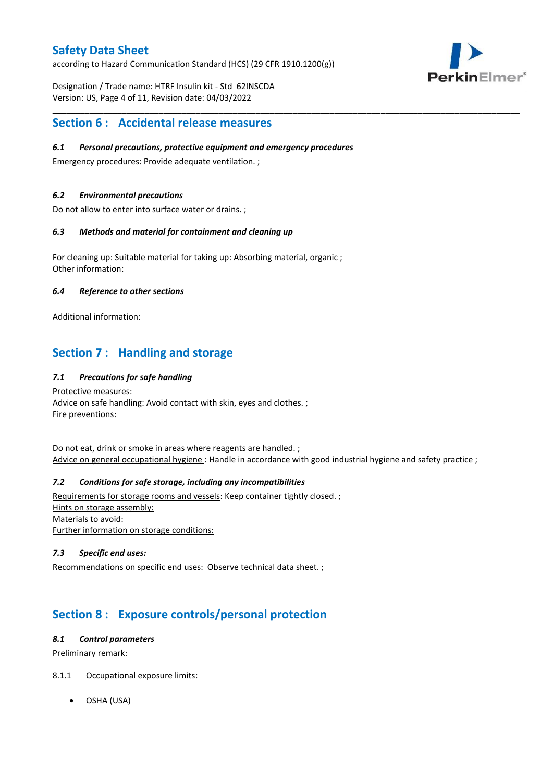according to Hazard Communication Standard (HCS) (29 CFR 1910.1200(g))

Designation / Trade name: HTRF Insulin kit - Std 62INSCDA Version: US, Page 4 of 11, Revision date: 04/03/2022



## **Section 6 : Accidental release measures**

#### *6.1 Personal precautions, protective equipment and emergency procedures*

Emergency procedures: Provide adequate ventilation. ;

#### *6.2 Environmental precautions*

Do not allow to enter into surface water or drains. ;

#### *6.3 Methods and material for containment and cleaning up*

For cleaning up: Suitable material for taking up: Absorbing material, organic ; Other information:

#### *6.4 Reference to other sections*

Additional information:

## **Section 7 : Handling and storage**

#### *7.1 Precautions for safe handling*

Protective measures: Advice on safe handling: Avoid contact with skin, eyes and clothes. ; Fire preventions:

Do not eat, drink or smoke in areas where reagents are handled. ; Advice on general occupational hygiene: Handle in accordance with good industrial hygiene and safety practice ;

\_\_\_\_\_\_\_\_\_\_\_\_\_\_\_\_\_\_\_\_\_\_\_\_\_\_\_\_\_\_\_\_\_\_\_\_\_\_\_\_\_\_\_\_\_\_\_\_\_\_\_\_\_\_\_\_\_\_\_\_\_\_\_\_\_\_\_\_\_\_\_\_\_\_\_\_\_\_\_\_\_\_\_\_\_\_\_\_\_\_\_\_\_\_\_\_\_\_\_\_\_

#### *7.2 Conditions for safe storage, including any incompatibilities*

Requirements for storage rooms and vessels: Keep container tightly closed. ; Hints on storage assembly: Materials to avoid: Further information on storage conditions:

#### *7.3 Specific end uses:*

Recommendations on specific end uses: Observe technical data sheet. ;

## **Section 8 : Exposure controls/personal protection**

#### *8.1 Control parameters*

Preliminary remark:

#### 8.1.1 Occupational exposure limits:

OSHA (USA)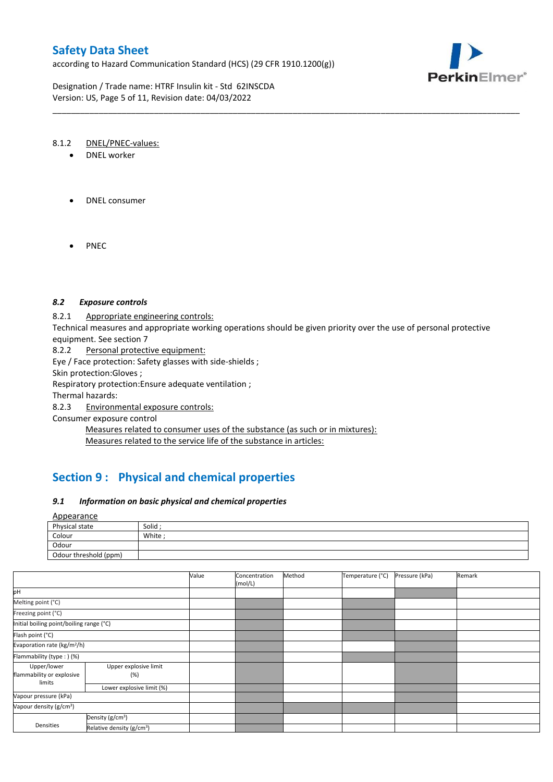according to Hazard Communication Standard (HCS) (29 CFR 1910.1200(g))

Designation / Trade name: HTRF Insulin kit - Std 62INSCDA Version: US, Page 5 of 11, Revision date: 04/03/2022



#### 8.1.2 DNEL/PNEC-values:

- DNEL worker
- DNEL consumer
- PNEC

#### *8.2 Exposure controls*

#### 8.2.1 Appropriate engineering controls:

Technical measures and appropriate working operations should be given priority over the use of personal protective equipment. See section 7

\_\_\_\_\_\_\_\_\_\_\_\_\_\_\_\_\_\_\_\_\_\_\_\_\_\_\_\_\_\_\_\_\_\_\_\_\_\_\_\_\_\_\_\_\_\_\_\_\_\_\_\_\_\_\_\_\_\_\_\_\_\_\_\_\_\_\_\_\_\_\_\_\_\_\_\_\_\_\_\_\_\_\_\_\_\_\_\_\_\_\_\_\_\_\_\_\_\_\_\_\_

8.2.2 Personal protective equipment:

Eye / Face protection: Safety glasses with side-shields ;

Skin protection:Gloves ;

Respiratory protection:Ensure adequate ventilation ;

Thermal hazards:

8.2.3 Environmental exposure controls:

Consumer exposure control

Measures related to consumer uses of the substance (as such or in mixtures): Measures related to the service life of the substance in articles:

## **Section 9 : Physical and chemical properties**

#### *9.1 Information on basic physical and chemical properties*

#### Appearance

| Physical state        | Solid |
|-----------------------|-------|
| Colour                | White |
| Odour                 |       |
| Odour threshold (ppm) |       |

|                                                    |                                       | Value | Concentration<br>(mol/L) | Method | Temperature (°C) | Pressure (kPa) | Remark |
|----------------------------------------------------|---------------------------------------|-------|--------------------------|--------|------------------|----------------|--------|
| рH                                                 |                                       |       |                          |        |                  |                |        |
| Melting point (°C)                                 |                                       |       |                          |        |                  |                |        |
| Freezing point (°C)                                |                                       |       |                          |        |                  |                |        |
| Initial boiling point/boiling range (°C)           |                                       |       |                          |        |                  |                |        |
| Flash point (°C)                                   |                                       |       |                          |        |                  |                |        |
| Evaporation rate (kg/m <sup>2</sup> /h)            |                                       |       |                          |        |                  |                |        |
| Flammability (type:) (%)                           |                                       |       |                          |        |                  |                |        |
| Upper/lower<br>flammability or explosive<br>limits | Upper explosive limit<br>(%)          |       |                          |        |                  |                |        |
|                                                    | Lower explosive limit (%)             |       |                          |        |                  |                |        |
| Vapour pressure (kPa)                              |                                       |       |                          |        |                  |                |        |
| Vapour density (g/cm <sup>3</sup> )                |                                       |       |                          |        |                  |                |        |
|                                                    | Density (g/cm <sup>3</sup> )          |       |                          |        |                  |                |        |
| Densities                                          | Relative density (g/cm <sup>3</sup> ) |       |                          |        |                  |                |        |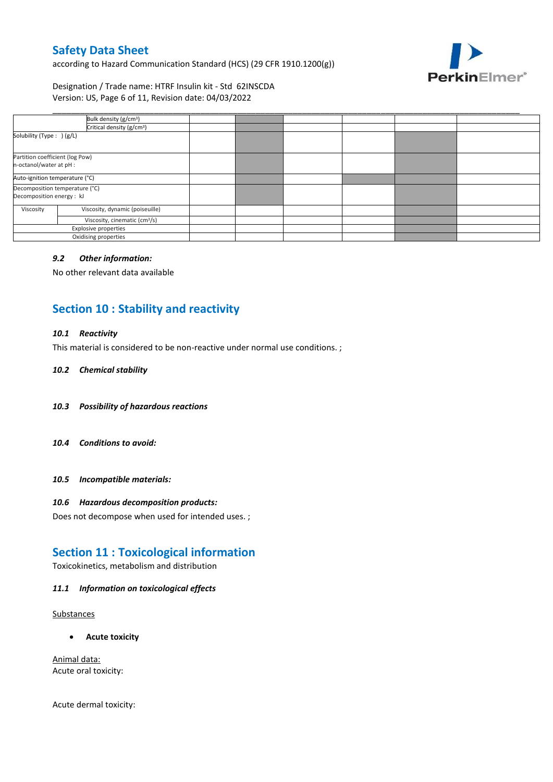according to Hazard Communication Standard (HCS) (29 CFR 1910.1200(g))



Designation / Trade name: HTRF Insulin kit - Std 62INSCDA Version: US, Page 6 of 11, Revision date: 04/03/2022

| Bulk density (g/cm <sup>3</sup> )                           |  |  |  |
|-------------------------------------------------------------|--|--|--|
| Critical density (g/cm <sup>3</sup> )                       |  |  |  |
| Solubility (Type: ) (g/L)                                   |  |  |  |
| Partition coefficient (log Pow)<br>n-octanol/water at pH :  |  |  |  |
| Auto-ignition temperature (°C)                              |  |  |  |
| Decomposition temperature (°C)<br>Decomposition energy : kJ |  |  |  |
| Viscosity, dynamic (poiseuille)<br>Viscosity                |  |  |  |
| Viscosity, cinematic (cm <sup>3</sup> /s)                   |  |  |  |
| <b>Explosive properties</b>                                 |  |  |  |
| Oxidising properties                                        |  |  |  |

\_\_\_\_\_\_\_\_\_\_\_\_\_\_\_\_\_\_\_\_\_\_\_\_\_\_\_\_\_\_\_\_\_\_\_\_\_\_\_\_\_\_\_\_\_\_\_\_\_\_\_\_\_\_\_\_\_\_\_\_\_\_\_\_\_\_\_\_\_\_\_\_\_\_\_\_\_\_\_\_\_\_\_\_\_\_\_\_\_\_\_\_\_\_\_\_\_\_\_\_\_

#### *9.2 Other information:*

No other relevant data available

## **Section 10 : Stability and reactivity**

#### *10.1 Reactivity*

This material is considered to be non-reactive under normal use conditions. ;

#### *10.2 Chemical stability*

- *10.3 Possibility of hazardous reactions*
- *10.4 Conditions to avoid:*
- *10.5 Incompatible materials:*

#### *10.6 Hazardous decomposition products:*

Does not decompose when used for intended uses. ;

## **Section 11 : Toxicological information**

Toxicokinetics, metabolism and distribution

#### *11.1 Information on toxicological effects*

#### **Substances**

**Acute toxicity**

Animal data: Acute oral toxicity:

Acute dermal toxicity: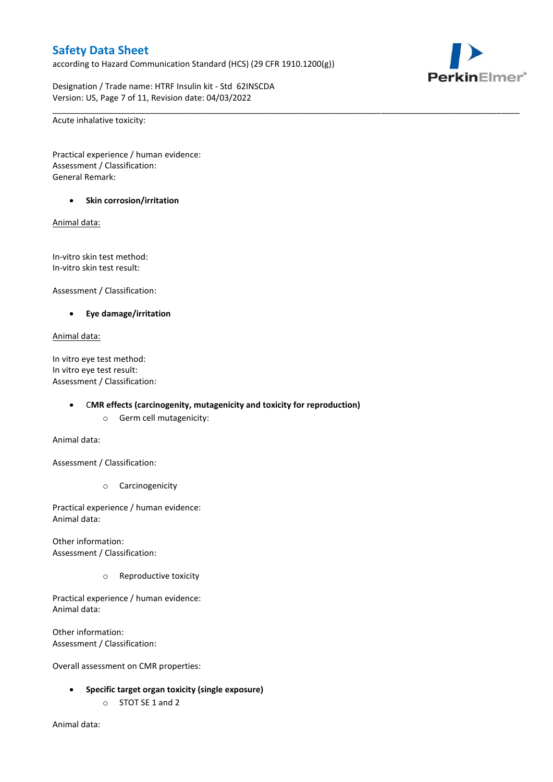according to Hazard Communication Standard (HCS) (29 CFR 1910.1200(g))

\_\_\_\_\_\_\_\_\_\_\_\_\_\_\_\_\_\_\_\_\_\_\_\_\_\_\_\_\_\_\_\_\_\_\_\_\_\_\_\_\_\_\_\_\_\_\_\_\_\_\_\_\_\_\_\_\_\_\_\_\_\_\_\_\_\_\_\_\_\_\_\_\_\_\_\_\_\_\_\_\_\_\_\_\_\_\_\_\_\_\_\_\_\_\_\_\_\_\_\_\_

Designation / Trade name: HTRF Insulin kit - Std 62INSCDA Version: US, Page 7 of 11, Revision date: 04/03/2022

Acute inhalative toxicity:

Practical experience / human evidence: Assessment / Classification: General Remark:

#### **•** Skin corrosion/irritation

Animal data:

In-vitro skin test method: In-vitro skin test result:

Assessment / Classification:

**Eye damage/irritation**

#### Animal data:

In vitro eye test method: In vitro eye test result: Assessment / Classification:

C**MR effects (carcinogenity, mutagenicity and toxicity for reproduction)**

o Germ cell mutagenicity:

Animal data:

Assessment / Classification:

o Carcinogenicity

Practical experience / human evidence: Animal data:

Other information: Assessment / Classification:

o Reproductive toxicity

Practical experience / human evidence: Animal data:

Other information: Assessment / Classification:

Overall assessment on CMR properties:

- **Specific target organ toxicity (single exposure)**
	- o STOT SE 1 and 2

Animal data:

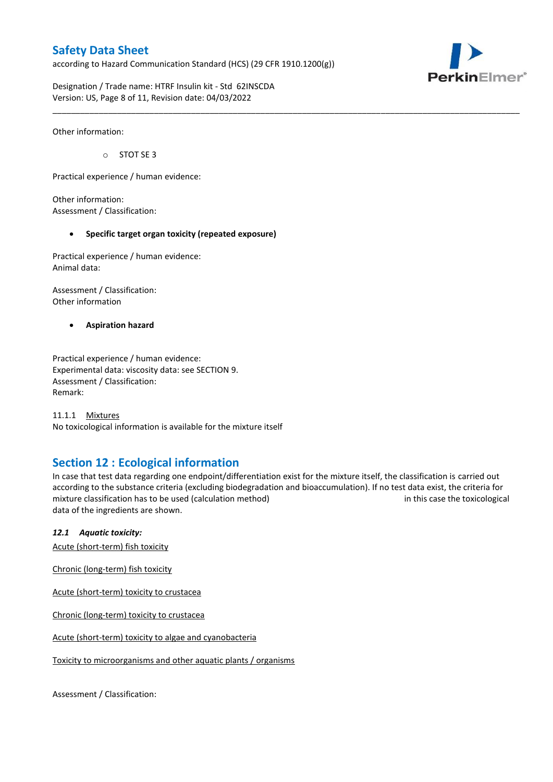according to Hazard Communication Standard (HCS) (29 CFR 1910.1200(g))



Designation / Trade name: HTRF Insulin kit - Std 62INSCDA Version: US, Page 8 of 11, Revision date: 04/03/2022

Other information:

o STOT SE 3

Practical experience / human evidence:

Other information: Assessment / Classification:

#### **Specific target organ toxicity (repeated exposure)**

Practical experience / human evidence: Animal data:

Assessment / Classification: Other information

**Aspiration hazard**

Practical experience / human evidence: Experimental data: viscosity data: see SECTION 9. Assessment / Classification: Remark:

11.1.1 Mixtures No toxicological information is available for the mixture itself

## **Section 12 : Ecological information**

In case that test data regarding one endpoint/differentiation exist for the mixture itself, the classification is carried out according to the substance criteria (excluding biodegradation and bioaccumulation). If no test data exist, the criteria for mixture classification has to be used (calculation method) in this case the toxicological data of the ingredients are shown.

\_\_\_\_\_\_\_\_\_\_\_\_\_\_\_\_\_\_\_\_\_\_\_\_\_\_\_\_\_\_\_\_\_\_\_\_\_\_\_\_\_\_\_\_\_\_\_\_\_\_\_\_\_\_\_\_\_\_\_\_\_\_\_\_\_\_\_\_\_\_\_\_\_\_\_\_\_\_\_\_\_\_\_\_\_\_\_\_\_\_\_\_\_\_\_\_\_\_\_\_\_

#### *12.1 Aquatic toxicity:*

Acute (short-term) fish toxicity

Chronic (long-term) fish toxicity

Acute (short-term) toxicity to crustacea

Chronic (long-term) toxicity to crustacea

Acute (short-term) toxicity to algae and cyanobacteria

Toxicity to microorganisms and other aquatic plants / organisms

Assessment / Classification: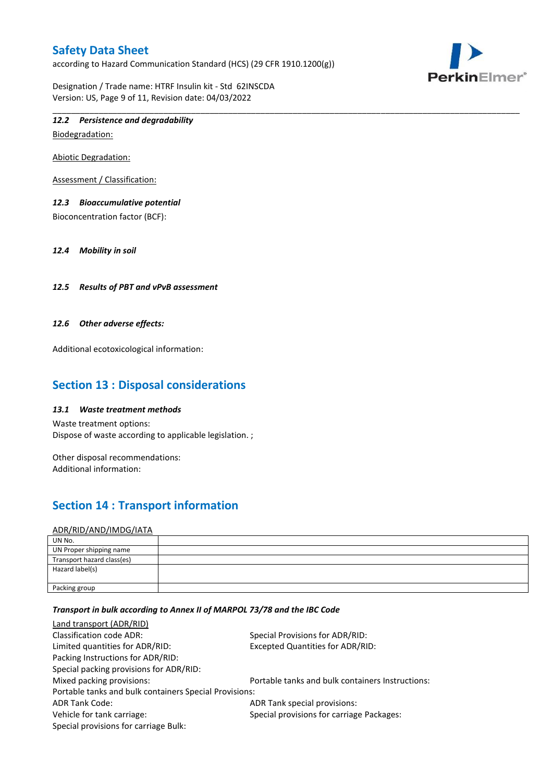according to Hazard Communication Standard (HCS) (29 CFR 1910.1200(g))

Designation / Trade name: HTRF Insulin kit - Std 62INSCDA Version: US, Page 9 of 11, Revision date: 04/03/2022



## *12.2 Persistence and degradability*

Biodegradation:

Abiotic Degradation:

Assessment / Classification:

#### *12.3 Bioaccumulative potential*

Bioconcentration factor (BCF):

*12.4 Mobility in soil*

#### *12.5 Results of PBT and vPvB assessment*

#### *12.6 Other adverse effects:*

Additional ecotoxicological information:

## **Section 13 : Disposal considerations**

#### *13.1 Waste treatment methods*

Waste treatment options: Dispose of waste according to applicable legislation. ;

Other disposal recommendations: Additional information:

## **Section 14 : Transport information**

#### ADR/RID/AND/IMDG/IATA

| UN No.                     |  |
|----------------------------|--|
| UN Proper shipping name    |  |
| Transport hazard class(es) |  |
| Hazard label(s)            |  |
|                            |  |
| Packing group              |  |

\_\_\_\_\_\_\_\_\_\_\_\_\_\_\_\_\_\_\_\_\_\_\_\_\_\_\_\_\_\_\_\_\_\_\_\_\_\_\_\_\_\_\_\_\_\_\_\_\_\_\_\_\_\_\_\_\_\_\_\_\_\_\_\_\_\_\_\_\_\_\_\_\_\_\_\_\_\_\_\_\_\_\_\_\_\_\_\_\_\_\_\_\_\_\_\_\_\_\_\_\_

#### *Transport in bulk according to Annex II of MARPOL 73/78 and the IBC Code*

| <b>Land transport (ADR/RID)</b>                        |                                                  |  |  |  |  |
|--------------------------------------------------------|--------------------------------------------------|--|--|--|--|
| <b>Classification code ADR:</b>                        | Special Provisions for ADR/RID:                  |  |  |  |  |
| Limited quantities for ADR/RID:                        | <b>Excepted Quantities for ADR/RID:</b>          |  |  |  |  |
| Packing Instructions for ADR/RID:                      |                                                  |  |  |  |  |
| Special packing provisions for ADR/RID:                |                                                  |  |  |  |  |
| Mixed packing provisions:                              | Portable tanks and bulk containers Instructions: |  |  |  |  |
| Portable tanks and bulk containers Special Provisions: |                                                  |  |  |  |  |
| <b>ADR Tank Code:</b>                                  | ADR Tank special provisions:                     |  |  |  |  |
| Vehicle for tank carriage:                             | Special provisions for carriage Packages:        |  |  |  |  |
| Special provisions for carriage Bulk:                  |                                                  |  |  |  |  |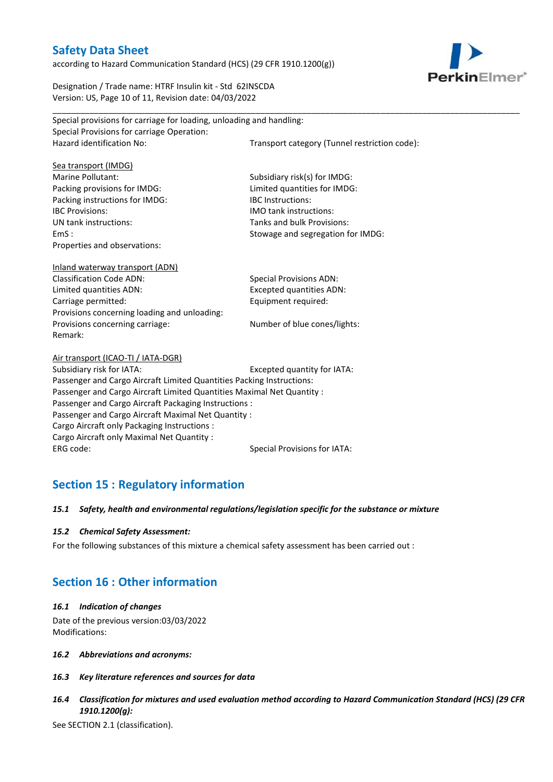according to Hazard Communication Standard (HCS) (29 CFR 1910.1200(g))

PerkinElmer\*

Designation / Trade name: HTRF Insulin kit - Std 62INSCDA Version: US, Page 10 of 11, Revision date: 04/03/2022

| Special provisions for carriage for loading, unloading and handling:   |                                               |  |  |  |  |
|------------------------------------------------------------------------|-----------------------------------------------|--|--|--|--|
| Special Provisions for carriage Operation:                             |                                               |  |  |  |  |
| Hazard identification No:                                              | Transport category (Tunnel restriction code): |  |  |  |  |
|                                                                        |                                               |  |  |  |  |
| Sea transport (IMDG)                                                   |                                               |  |  |  |  |
| Marine Pollutant:                                                      | Subsidiary risk(s) for IMDG:                  |  |  |  |  |
| Packing provisions for IMDG:                                           | Limited quantities for IMDG:                  |  |  |  |  |
| Packing instructions for IMDG:                                         | <b>IBC</b> Instructions:                      |  |  |  |  |
| <b>IBC Provisions:</b>                                                 | IMO tank instructions:                        |  |  |  |  |
| UN tank instructions:                                                  | Tanks and bulk Provisions:                    |  |  |  |  |
| EmS:                                                                   | Stowage and segregation for IMDG:             |  |  |  |  |
| Properties and observations:                                           |                                               |  |  |  |  |
|                                                                        |                                               |  |  |  |  |
| <b>Inland waterway transport (ADN)</b>                                 |                                               |  |  |  |  |
| <b>Classification Code ADN:</b>                                        | <b>Special Provisions ADN:</b>                |  |  |  |  |
| Limited quantities ADN:                                                | <b>Excepted quantities ADN:</b>               |  |  |  |  |
| Carriage permitted:                                                    | Equipment required:                           |  |  |  |  |
| Provisions concerning loading and unloading:                           |                                               |  |  |  |  |
| Provisions concerning carriage:                                        | Number of blue cones/lights:                  |  |  |  |  |
| Remark:                                                                |                                               |  |  |  |  |
|                                                                        |                                               |  |  |  |  |
| Air transport (ICAO-TI / IATA-DGR)                                     |                                               |  |  |  |  |
| Subsidiary risk for IATA:                                              | Excepted quantity for IATA:                   |  |  |  |  |
| Passenger and Cargo Aircraft Limited Quantities Packing Instructions:  |                                               |  |  |  |  |
| Passenger and Cargo Aircraft Limited Quantities Maximal Net Quantity : |                                               |  |  |  |  |
| Passenger and Cargo Aircraft Packaging Instructions :                  |                                               |  |  |  |  |
| Passenger and Cargo Aircraft Maximal Net Quantity:                     |                                               |  |  |  |  |
| Cargo Aircraft only Packaging Instructions :                           |                                               |  |  |  |  |
| Cargo Aircraft only Maximal Net Quantity :                             |                                               |  |  |  |  |
| ERG code:                                                              | <b>Special Provisions for IATA:</b>           |  |  |  |  |
|                                                                        |                                               |  |  |  |  |

\_\_\_\_\_\_\_\_\_\_\_\_\_\_\_\_\_\_\_\_\_\_\_\_\_\_\_\_\_\_\_\_\_\_\_\_\_\_\_\_\_\_\_\_\_\_\_\_\_\_\_\_\_\_\_\_\_\_\_\_\_\_\_\_\_\_\_\_\_\_\_\_\_\_\_\_\_\_\_\_\_\_\_\_\_\_\_\_\_\_\_\_\_\_\_\_\_\_\_\_\_

## **Section 15 : Regulatory information**

#### *15.1 Safety, health and environmental regulations/legislation specific for the substance or mixture*

#### *15.2 Chemical Safety Assessment:*

For the following substances of this mixture a chemical safety assessment has been carried out :

## **Section 16 : Other information**

#### *16.1 Indication of changes*

Date of the previous version:03/03/2022 Modifications:

- *16.2 Abbreviations and acronyms:*
- *16.3 Key literature references and sources for data*
- *16.4 Classification for mixtures and used evaluation method according to Hazard Communication Standard (HCS) (29 CFR 1910.1200(g):*

See SECTION 2.1 (classification).